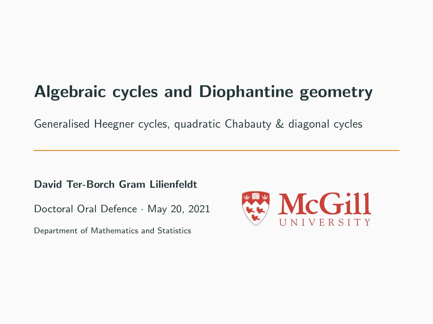# Algebraic cycles and Diophantine geometry

Generalised Heegner cycles, quadratic Chabauty & diagonal cycles

David Ter-Borch Gram Lilienfeldt

Doctoral Oral Defence · May 20, 2021

Department of Mathematics and Statistics

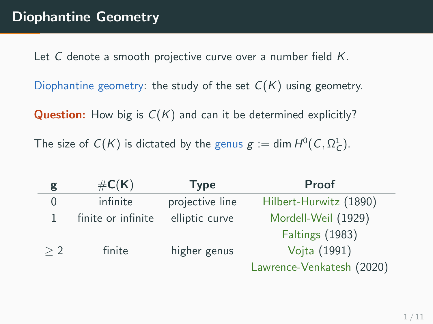Let C denote a smooth projective curve over a number field K.

Diophantine geometry: the study of the set  $C(K)$  using geometry.

**Question:** How big is  $C(K)$  and can it be determined explicitly?

The size of  $C(K)$  is dictated by the genus  $g := \dim H^0(C, \Omega^1_C)$ .

| g   | $\#C(K)$           | <b>Type</b>     | <b>Proof</b>              |  |
|-----|--------------------|-----------------|---------------------------|--|
| 0   | infinite           | projective line | Hilbert-Hurwitz (1890)    |  |
|     | finite or infinite | elliptic curve  | Mordell-Weil (1929)       |  |
|     |                    |                 | <b>Faltings (1983)</b>    |  |
| > 2 | finite             | higher genus    | Vojta (1991)              |  |
|     |                    |                 | Lawrence-Venkatesh (2020) |  |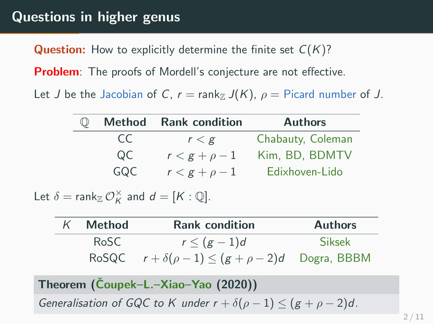## Questions in higher genus

**Question:** How to explicitly determine the finite set  $C(K)$ ?

**Problem**: The proofs of Mordell's conjecture are not effective.

Let J be the Jacobian of C,  $r = \text{rank}_{\mathbb{Z}} J(K)$ ,  $\rho = \text{Picard number of } J$ .

| Method | <b>Rank condition</b> | <b>Authors</b>    |
|--------|-----------------------|-------------------|
| CC.    | r < g                 | Chabauty, Coleman |
| QC.    | $r < g + \rho - 1$    | Kim, BD, BDMTV    |
| GQC    | $r < g + \rho - 1$    | Edixhoven-Lido    |

Let  $\delta = \text{rank}_{\mathbb{Z}} \mathcal{O}_K^{\times}$  and  $d = [K : \mathbb{Q}].$ 

| Method | <b>Rank condition</b>                                        | <b>Authors</b> |
|--------|--------------------------------------------------------------|----------------|
| RoSC   | $r \leq (g-1)d$                                              | Siksek         |
|        | RoSQC $r + \delta(\rho - 1) \le (g + \rho - 2)d$ Dogra, BBBM |                |

Theorem (Čoupek–L.–Xiao–Yao (2020)) Generalisation of GQC to K under  $r + \delta(\rho - 1) \leq (g + \rho - 2)d$ .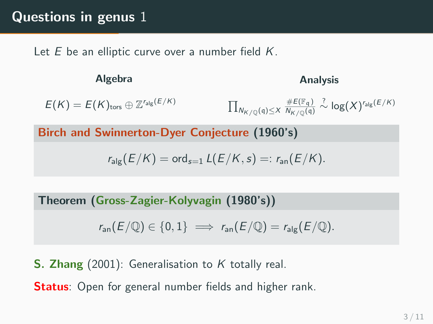Let  $E$  be an elliptic curve over a number field  $K$ .

Algebra  $E(K) = E(K)_{\text{tors}} \oplus \mathbb{Z}^{r_{\text{alg}}(E/K)}$ Analysis  $\prod_{N_{K/{\mathbb Q}}(\mathfrak{q})\leq X}$  $\#E(\mathbb{F}_q)$  $\frac{\#E(\mathbb{F}_\mathfrak{q})}{N_{K/\mathbb{Q}}(\mathfrak{q})}\overset{?}{\sim}\log(X)^{r_{\mathsf{alg}}(E/K)}$ 

Birch and Swinnerton-Dyer Conjecture (1960's)

$$
r_{\text{alg}}(E/K) = \text{ord}_{s=1} L(E/K, s) =: r_{\text{an}}(E/K).
$$

Theorem (Gross-Zagier-Kolyvagin (1980's))

$$
r_{\text{an}}(E/\mathbb{Q}) \in \{0,1\} \implies r_{\text{an}}(E/\mathbb{Q}) = r_{\text{alg}}(E/\mathbb{Q}).
$$

**S. Zhang** (2001): Generalisation to K totally real.

**Status:** Open for general number fields and higher rank.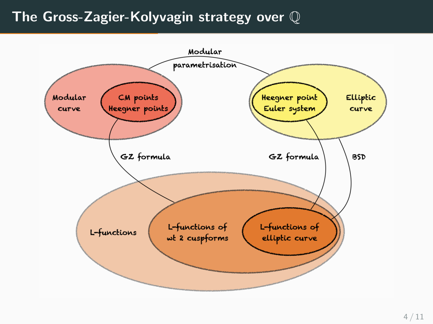## The Gross-Zagier-Kolyvagin strategy over Q

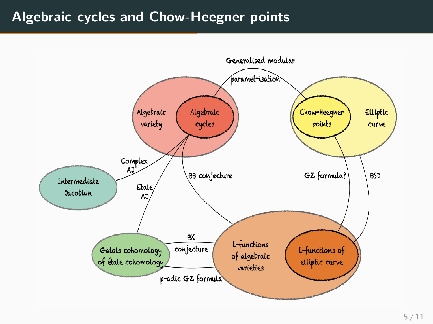### Algebraic cycles and Chow-Heegner points

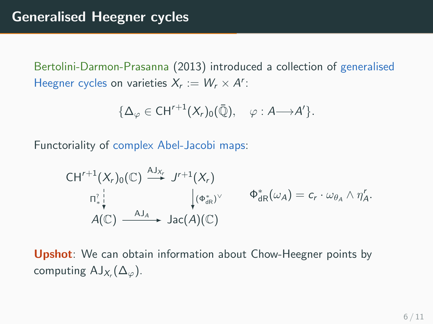Bertolini-Darmon-Prasanna (2013) introduced a collection of generalised Heegner cycles on varieties  $X_r := W_r \times A^r$ :

$$
\{\Delta_{\varphi} \in \mathrm{CH}^{r+1}(X_r)_0(\bar{\mathbb{Q}}), \quad \varphi : A \longrightarrow A'\}.
$$

Functoriality of complex Abel-Jacobi maps:

$$
\mathsf{CH}^{r+1}(X_r)_0(\mathbb{C}) \stackrel{\mathsf{AJ}_{X_r}}{\longrightarrow} J^{r+1}(X_r) \n\mathsf{n}^2_* \downarrow \qquad \qquad \downarrow (\Phi_{\mathrm{dR}}^*)^\vee \qquad \Phi_{\mathrm{dR}}^*(\omega_A) = c_r \cdot \omega_{\theta_A} \wedge \eta'_A.
$$
\n
$$
A(\mathbb{C}) \stackrel{\mathsf{AJ}_{A}}{\longrightarrow} \mathrm{Jac}(A)(\mathbb{C})
$$

Upshot: We can obtain information about Chow-Heegner points by computing  $\mathsf{AJ}_{X_r}(\Delta_\varphi)$ .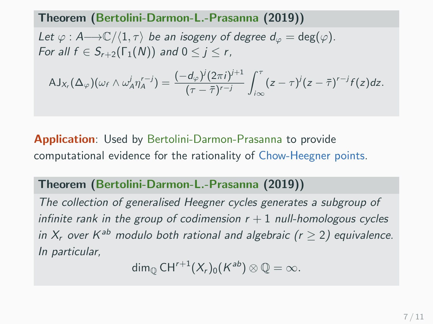#### Theorem (Bertolini-Darmon-L.-Prasanna (2019))

Let  $\varphi : A \longrightarrow \mathbb{C}/\langle 1, \tau \rangle$  be an isogeny of degree  $d_{\varphi} = \deg(\varphi)$ . For all  $f \in S_{r+2}(\Gamma_1(N))$  and  $0 \leq j \leq r$ ,

$$
AJ_{X_r}(\Delta_{\varphi})(\omega_f \wedge \omega^j_A \eta'^{r-j}_A) = \frac{(-d_{\varphi})^j (2\pi i)^{j+1}}{(\tau - \overline{\tau})^{r-j}} \int_{i\infty}^{\tau} (z - \tau)^j (z - \overline{\tau})^{r-j} f(z) dz.
$$

Application: Used by Bertolini-Darmon-Prasanna to provide computational evidence for the rationality of Chow-Heegner points.

Theorem (Bertolini-Darmon-L.-Prasanna (2019))

The collection of generalised Heegner cycles generates a subgroup of infinite rank in the group of codimension  $r + 1$  null-homologous cycles in  $X_r$  over  $K^{ab}$  modulo both rational and algebraic ( $r \geq 2$ ) equivalence. In particular,

 $\dim_\mathbb{Q} \mathsf{CH}^{r+1}(X_r)_0(K^{\mathsf{ab}})\otimes \mathbb{Q}=\infty.$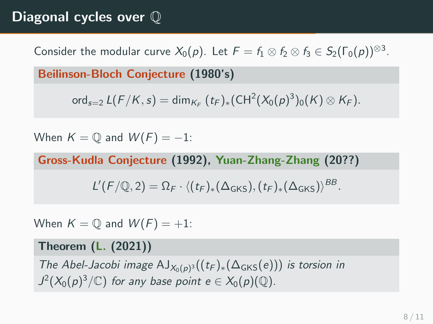## Diagonal cycles over Q

Consider the modular curve  $X_0(p)$ . Let  $F = f_1 \otimes f_2 \otimes f_3 \in S_2(\Gamma_0(p))^{\otimes 3}$ .

Beilinson-Bloch Conjecture (1980's)

ord<sub>s=2</sub>  $L(F/K, s) = \dim_{K_F} (t_F)_*(\text{CH}^2(X_0(p)^3)_0(K) \otimes K_F).$ 

When  $K = \mathbb{O}$  and  $W(F) = -1$ :

Gross-Kudla Conjecture (1992), Yuan-Zhang-Zhang (20??)

$$
L'(F/\mathbb{Q},2)=\Omega_F\cdot\langle (t_F)_*(\Delta_{GKS}), (t_F)_*(\Delta_{GKS})\rangle^{BB}.
$$

When  $K = \mathbb{Q}$  and  $W(F) = +1$ :

#### Theorem (L. (2021))

The Abel-Jacobi image  $\mathrm{AJ}_{X_0(p)^3}((t_F)_*(\Delta_{GKS}(e)))$  is torsion in  $J^2(X_0(p)^3/\mathbb{C})$  for any base point  $e\in X_0(p)(\mathbb{Q})$ .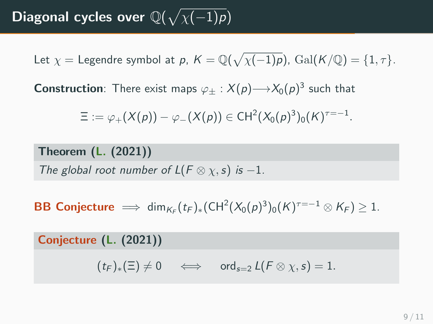Diagonal cycles over  $\mathbb{Q}(\sqrt{\chi(-1)p})$ 

Let  $\chi =$  Legendre symbol at  $p$ ,  $K = \mathbb{Q}(\sqrt{\chi(-1)p})$ ,  $\mathrm{Gal}(K/\mathbb{Q}) = \{1, \tau\}.$ 

<code>Construction</code>: There exist maps  $\varphi_\pm : \mathcal{X}(p){\longrightarrow} \mathcal{X}_0(p)^3$  such that

$$
\Xi:=\varphi_+(X(\rho))-\varphi_-(X(\rho))\in \mathrm{CH}^2(X_0(\rho)^3)_0(K)^{\tau=-1}.
$$

Theorem (L. (2021))

The global root number of  $L(F \otimes \chi, s)$  is -1.

**BB Conjecture**  $\implies$  dim<sub>KF</sub> $(t_F)_*(CH^2(X_0(p)^3)_0(K)^{\tau=-1} \otimes K_F) \geq 1$ .

Conjecture (L. (2021))

 $(t_F)_*(\Xi) \neq 0 \iff \text{ord}_{s=2} L(F \otimes \chi, s) = 1.$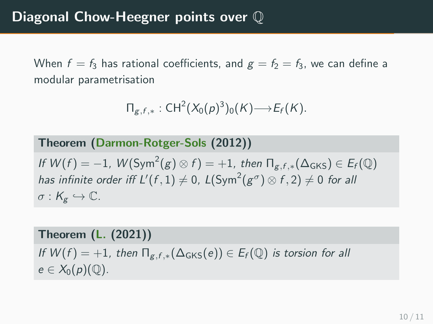When  $f = f_3$  has rational coefficients, and  $g = f_2 = f_3$ , we can define a modular parametrisation

$$
\Pi_{g,f,*}:CH^2(X_0(p)^3)_0(K) {\longrightarrow} E_f(K).
$$

Theorem (Darmon-Rotger-Sols (2012))

If  $W(f) = -1$ ,  $W(\text{Sym}^2(g) \otimes f) = +1$ , then  $\Pi_{g,f,*}(\Delta_{\text{GKS}}) \in E_f(\mathbb{Q})$ has infinite order iff  $L'(f,1)\neq 0$ ,  $L({\rm Sym}^2(g^\sigma)\otimes f,2)\neq 0$  for all  $\sigma: K_{\sigma} \hookrightarrow \mathbb{C}.$ 

Theorem (L. (2021))

If  $W(f) = +1$ , then  $\Pi_{g,f,*}(\Delta_{GKS}(e)) \in E_f(\mathbb{Q})$  is torsion for all  $e \in X_0(p)(\mathbb{Q}).$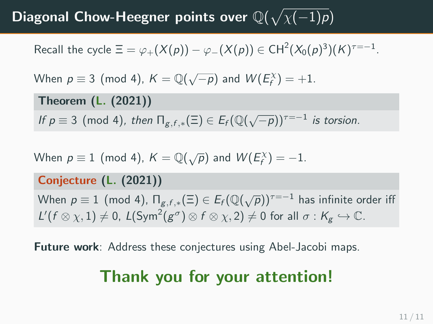## Diagonal Chow-Heegner points over  $\mathbb{Q}(\sqrt{\chi(-1)p})$

Recall the cycle  $\Xi = \varphi_+(X(\rho)) - \varphi_-(X(\rho)) \in \mathsf{CH}^2(X_0(\rho)^3)(K)^{\tau=-1}.$ 

When 
$$
p \equiv 3 \pmod{4}
$$
,  $K = \mathbb{Q}(\sqrt{-p})$  and  $W(E_f^X) = +1$ .

Theorem (L. (2021))

If  $p \equiv 3 \pmod{4}$ , then  $\prod_{g,f,*} (\Xi) \in E_f (\mathbb{Q}(\sqrt{-p}))^{r=-1}$  is torsion.

When  $p \equiv 1 \pmod{4}$ ,  $K = \mathbb{Q}(\sqrt{p})$  and  $W(E_f^{\chi}) = -1$ .

Conjecture (L. (2021))

When  $p\equiv 1\pmod{4}$ ,  $\Pi_{g,f,*}(\Xi)\in E_f({\mathbb Q}(\sqrt{p}))^{\tau=-1}$  has infinite order iff  $L'(f \otimes \chi, 1) \neq 0$ ,  $L(\text{Sym}^2(g^\sigma) \otimes f \otimes \chi, 2) \neq 0$  for all  $\sigma : K_g \hookrightarrow \mathbb{C}$ .

Future work: Address these conjectures using Abel-Jacobi maps.

# Thank you for your attention!